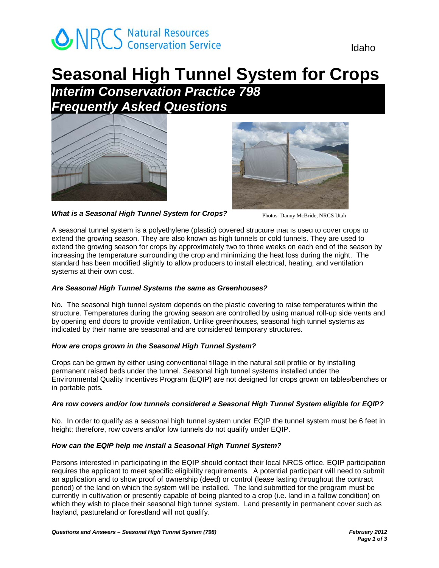

# **Seasonal High Tunnel System for Crops**

*Interim Conservation Practice 798 Frequently Asked Questions* 





*What is a Seasonal High Tunnel System for Crops?* 

Photos: Danny McBride, NRCS Utah

A seasonal tunnel system is a polyethylene (plastic) covered structure that is used to cover crops to extend the growing season. They are also known as high tunnels or cold tunnels. They are used to extend the growing season for crops by approximately two to three weeks on each end of the season by increasing the temperature surrounding the crop and minimizing the heat loss during the night. The standard has been modified slightly to allow producers to install electrical, heating, and ventilation systems at their own cost.

# *Are Seasonal High Tunnel Systems the same as Greenhouses?*

No. The seasonal high tunnel system depends on the plastic covering to raise temperatures within the structure. Temperatures during the growing season are controlled by using manual roll-up side vents and by opening end doors to provide ventilation. Unlike greenhouses, seasonal high tunnel systems as indicated by their name are seasonal and are considered temporary structures.

### *How are crops grown in the Seasonal High Tunnel System?*

Crops can be grown by either using conventional tillage in the natural soil profile or by installing permanent raised beds under the tunnel. Seasonal high tunnel systems installed under the Environmental Quality Incentives Program (EQIP) are not designed for crops grown on tables/benches or in portable pots.

# *Are row covers and/or low tunnels considered a Seasonal High Tunnel System eligible for EQIP?*

No. In order to qualify as a seasonal high tunnel system under EQIP the tunnel system must be 6 feet in height; therefore, row covers and/or low tunnels do not qualify under EQIP.

# *How can the EQIP help me install a Seasonal High Tunnel System?*

Persons interested in participating in the EQIP should contact their local NRCS office. EQIP participation requires the applicant to meet specific eligibility requirements. A potential participant will need to submit an application and to show proof of ownership (deed) or control (lease lasting throughout the contract period) of the land on which the system will be installed. The land submitted for the program must be currently in cultivation or presently capable of being planted to a crop (i.e. land in a fallow condition) on which they wish to place their seasonal high tunnel system. Land presently in permanent cover such as hayland, pastureland or forestland will not qualify.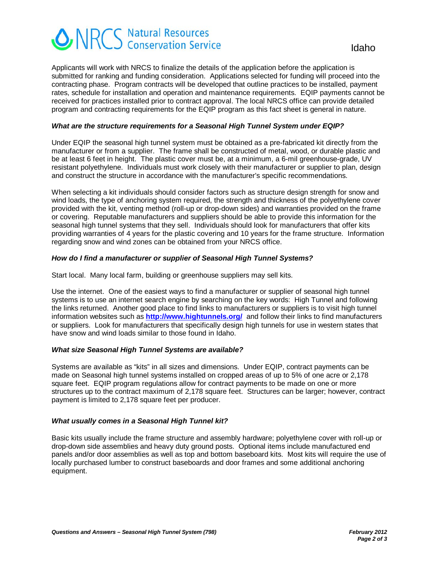# **ONRCS** Natural Resources<br> **Idaho**<br>
Idaho

Applicants will work with NRCS to finalize the details of the application before the application is submitted for ranking and funding consideration. Applications selected for funding will proceed into the contracting phase. Program contracts will be developed that outline practices to be installed, payment rates, schedule for installation and operation and maintenance requirements. EQIP payments cannot be received for practices installed prior to contract approval. The local NRCS office can provide detailed program and contracting requirements for the EQIP program as this fact sheet is general in nature.

### *What are the structure requirements for a Seasonal High Tunnel System under EQIP?*

Under EQIP the seasonal high tunnel system must be obtained as a pre-fabricated kit directly from the manufacturer or from a supplier. The frame shall be constructed of metal, wood, or durable plastic and be at least 6 feet in height. The plastic cover must be, at a minimum, a 6-mil greenhouse-grade, UV resistant polyethylene. Individuals must work closely with their manufacturer or supplier to plan, design and construct the structure in accordance with the manufacturer's specific recommendations.

When selecting a kit individuals should consider factors such as structure design strength for snow and wind loads, the type of anchoring system required, the strength and thickness of the polyethylene cover provided with the kit, venting method (roll-up or drop-down sides) and warranties provided on the frame or covering. Reputable manufacturers and suppliers should be able to provide this information for the seasonal high tunnel systems that they sell. Individuals should look for manufacturers that offer kits providing warranties of 4 years for the plastic covering and 10 years for the frame structure. Information regarding snow and wind zones can be obtained from your NRCS office.

#### *How do I find a manufacturer or supplier of Seasonal High Tunnel Systems?*

Start local. Many local farm, building or greenhouse suppliers may sell kits.

Use the internet. One of the easiest ways to find a manufacturer or supplier of seasonal high tunnel systems is to use an internet search engine by searching on the key words: High Tunnel and following the links returned. Another good place to find links to manufacturers or suppliers is to visit high tunnel information websites such as **http://www.hightunnels.org/** and follow their links to find manufacturers or suppliers. Look for manufacturers that specifically design high tunnels for use in western states that have snow and wind loads similar to those found in Idaho.

#### *What size Seasonal High Tunnel Systems are available?*

Systems are available as "kits" in all sizes and dimensions. Under EQIP, contract payments can be made on Seasonal high tunnel systems installed on cropped areas of up to 5% of one acre or 2,178 square feet. EQIP program regulations allow for contract payments to be made on one or more structures up to the contract maximum of 2,178 square feet. Structures can be larger; however, contract payment is limited to 2,178 square feet per producer.

#### *What usually comes in a Seasonal High Tunnel kit?*

Basic kits usually include the frame structure and assembly hardware; polyethylene cover with roll-up or drop-down side assemblies and heavy duty ground posts. Optional items include manufactured end panels and/or door assemblies as well as top and bottom baseboard kits. Most kits will require the use of locally purchased lumber to construct baseboards and door frames and some additional anchoring equipment.